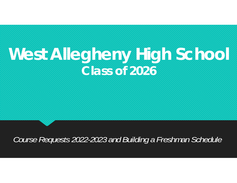## **West Allegheny High School** *Class of 2026*

*Course Requests 2022-2023 and Building a Freshman Schedule*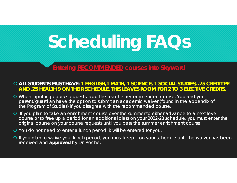# **Scheduling FAQs**

#### **Entering RECOMMENDED courses into Skyward**

#### **ALL STUDENTS MUST HAVE: 1 ENGLISH,1 MATH, 1 SCIENCE, 1 SOCIAL STUDIES, .25 CREDIT PE AND .25 HEALTH 9 ON THEIR SCHEDULE. THIS LEAVES ROOM FOR 2 TO 3 ELECTIVE CREDITS.**

- When inputting course requests, add the teacher recommended course. You and your parent/guardian have the option to submit an academic waiver *(found in the appendix of the Program of Studies)* if you disagree with the recommended course.
- **O** If you plan to take an enrichment course over the summer to either advance to a next level course or to free up a period for an additional class on your 2022-23 schedule, you must enter the original course on your course requests until you pass the summer enrichment course.
- **O** You do not need to enter a lunch period, it will be entered for you.
- **O** If you plan to waive your lunch period, you must keep it on your schedule until the waiver has been received and **approved** by Dr. Roche.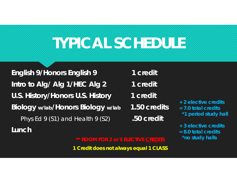# **TYPICAL SCHEDULE**

**English 9/Honors English 9 1 credit Intro to Alg/ Alg 1/HEC Alg 2 1 credit U.S. History/Honors U.S. History 1 credit Biology w/lab/Honors Biology w/lab 1.50 credits** Phys Ed 9 (S1) and Health 9 (S2) **.50 credit Lunch**

- 
- 
- 
- 
- **+ 2 elective credits= 7.0 total credits**
	- *\*1 period study hall*
- **+ 3 elective credits**
- **= 8.0 total credits***\*no study halls*

#### **\*\* ROOM FOR 2 or 3 ELECTIVE CREDITS**

**1 Credit does not always equal 1 CLASS**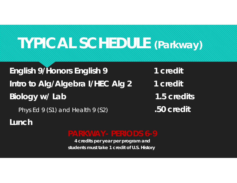### **TYPICAL SCHEDULE (Parkway)**

**English 9/Honors English 9 1 credit Intro to Alg/Algebra I/HEC Alg 2 1 credit Biology w/ Lab 1.5 credits**

Phys Ed 9 (S1) and Health 9 (S2) **.50 credit**

**Lunch**

*4 credits per year per program and students must take 1 credit of U.S. History*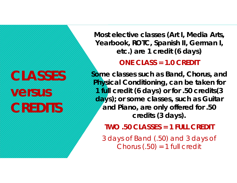# **CLASSES versus CREDITS**

**Most elective classes (Art I, Media Arts, Yearbook, ROTC, Spanish II, German I, etc.) are 1 credit (6 days)**

**ONE CLASS = 1.0 CREDIT**

**Some classes such as Band, Chorus, and Physical Conditioning, can be taken for 1 full credit (6 days) or for .50 credits(3 days); or some classes, such as Guitar and Piano, are only offered for .50 credits (3 days).**

**TWO .50 CLASSES = 1 FULL CREDIT**

3 days of Band (.50) and 3 days of Chorus  $(.50) = 1$  full credit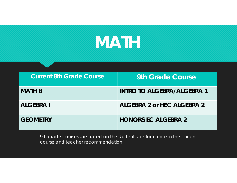

| <b>Current 8th Grade Course</b> | 9th Grade Course                  |
|---------------------------------|-----------------------------------|
| <b>MATH 8</b>                   | <b>INTRO TO ALGEBRA/ALGEBRA 1</b> |
| <b>ALGEBRA I</b>                | ALGEBRA 2 or HEC ALGEBRA 2        |
| <b>GEOMETRY</b>                 | <b>HONORS EC ALGEBRA 2</b>        |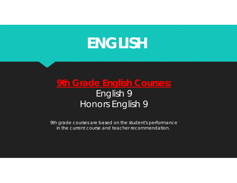### **ENGLISH**

### **9th Grade English Courses:** English 9 Honors English 9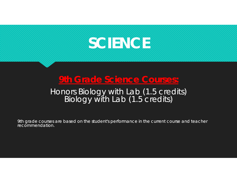

### **9th Grade Science Courses:**

# Honors Biology with Lab (1.5 credits) Biology with Lab (1.5 credits)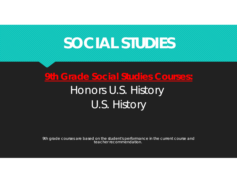### **SOCIAL STUDIES**

### **9th Grade Social Studies Courses:** Honors U.S. History U.S. History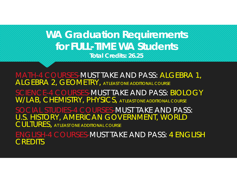### **WA Graduation Requirements for FULL-TIME WA Students Total Credits: 26.25**

MATH-4 COURSES-MUST TAKE AND PASS: ALGEBRA 1, ALGEBRA 2, GEOMETRY, AT LEAST ONE ADDITIONAL COURSE SCIENCE-4 COURSES-MUST TAKE AND PASS: BIOLOGY W/LAB, CHEMISTRY, PHYSICS, AT LEAST ONE ADDITIONAL COURSE SOCIAL STUDIES-4 COURSES-MUST TAKE AND PASS: U.S. HISTORY, AMERICAN GOVERNMENT, WORLD CULTURES, AT LEAST ONE ADDITIONAL COURSE ENGLISH-4 COURSES-MUST TAKE AND PASS: 4 ENGLISH **CREDITS**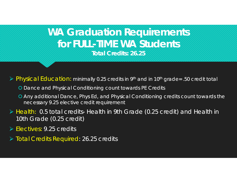### **WA Graduation Requirements for FULL-TIME WA StudentsTotal Credits: 26.25**

Physical Education: minimally 0.25 credits in 9th and in 10th grade= .50 credit total

- **O** Dance and Physical Conditioning count towards PE Credits
- Any additional Dance, Phys Ed, and Physical Conditioning credits count towards the necessary 9.25 elective credit requirement
- Health: 0.5 total credits- Health in 9th Grade (0.25 credit) and Health in 10th Grade (0.25 credit)
- Electives: 9.25 credits
- Total Credits Required: 26.25 credits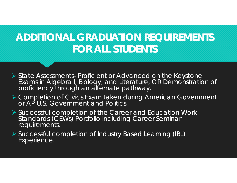### **ADDITIONAL GRADUATION REQUIREMENTS FOR ALL STUDENTS**

- State Assessments- Proficient or Advanced on the Keystone Exams in Algebra I, Biology, and Literature, OR Demonstration of proficiency through an alternate pathway.
- Completion of Civics Exam taken during American Government or AP U.S. Government and Politics.
- Successful completion of the Career and Education Work Standards (CEWs) Portfolio including Career Seminar requirements.
- Successful completion of Industry Based Learning (IBL) Experience.